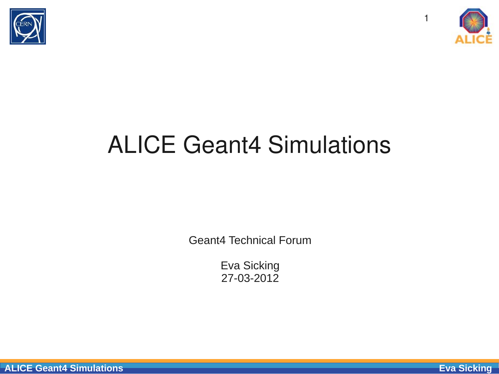



1

### ALICE Geant4 Simulations

Geant4 Technical Forum

Eva Sicking 27-03-2012

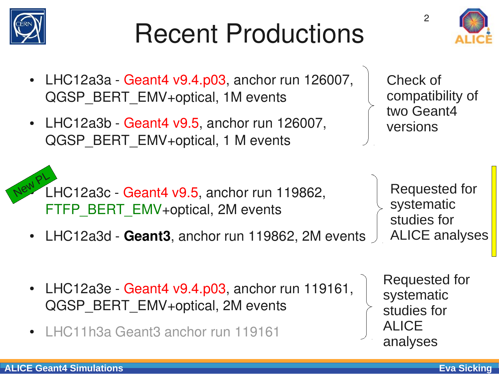### Recent Productions



• LHC12a3b - Geant4 v9.5, anchor run 126007, QGSP\_BERT\_EMV+optical, 1 M events

Check of compatibility of two Geant4 versions

Requested for

ALICE analyses

systematic

studies for

 $\mathcal{P}$ 

LHC12a3c - Geant4 v9.5, anchor run 119862, FTFP\_BERT\_EMV+optical, 2M events New PL

- LHC12a3d Geant3, anchor run 119862, 2M events
- LHC12a3e Geant4 v9.4.p03, anchor run 119161, QGSP\_BERT\_EMV+optical, 2M events
- LHC11h3a Geant3 anchor run 119161

Requested for systematic studies for ALICE analyses



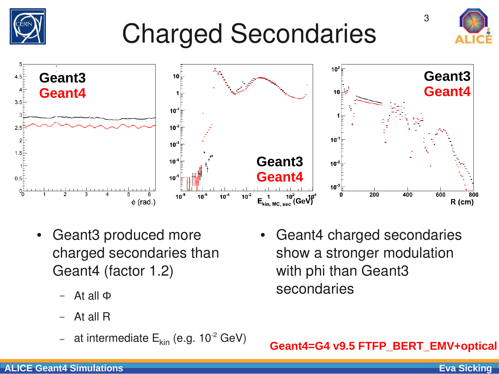

- Geant3 produced more charged secondaries than Geant4 (factor 1.2)
	- At all Φ
	- At all R
	- at intermediate  $E_{kin}$  (e.g. 10<sup>-2</sup> GeV)
- Geant4 charged secondaries show a stronger modulation with phi than Geant<sub>3</sub> secondaries

**Geant4=G4 v9.5 FTFP\_BERT\_EMV+optical**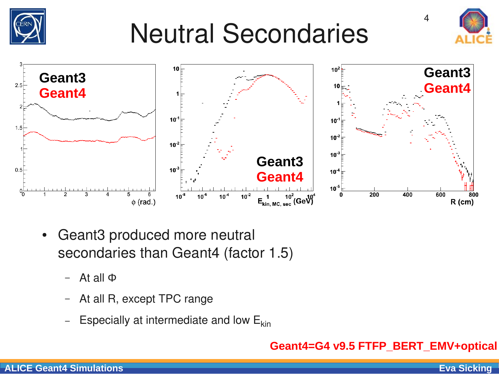## Neutral Secondaries





- Geant3 produced more neutral secondaries than Geant4 (factor 1.5)
	- At all Φ
	- At all R, except TPC range
	- Especially at intermediate and low  $E_{kin}$

#### **Geant4=G4 v9.5 FTFP\_BERT\_EMV+optical**



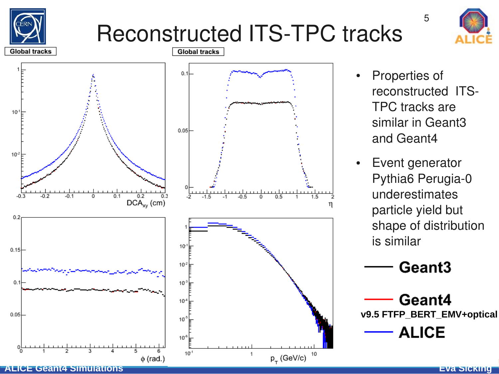

### Reconstructed ITS-TPC tracks



**Global tracks**  $0.1$  $10<sup>°</sup>$  $0.05<sup>L</sup>$  $10<sup>2</sup>$  $-0.3$  $-0.2$  $-0.1$  $0.1$  $0.2$  $-1.5$  $\overline{1.5}$  $DCA_{xy}$  (cm) η  $0.2$  $10$  $0.15$  $10<sup>2</sup>$  $0.1$  $10<sup>°</sup>$  $10<sup>-1</sup>$ 0.05  $10<sup>°</sup>$  $10<sup>4</sup>$  $10^{-1}$ 10  $p_$  (GeV/c)  $\phi$  (rad.)

Properties of reconstructed ITS-TPC tracks are similar in Geant3 and Geant4

5

• Event generator Pythia6 Perugia-0 underestimates particle yield but shape of distribution is similar

Geant<sub>3</sub>

Geant4 **v9.5 FTFP\_BERT\_EMV+optical**

**ALICE** 

**ALICE Geant4 Simulations Eva Sicking**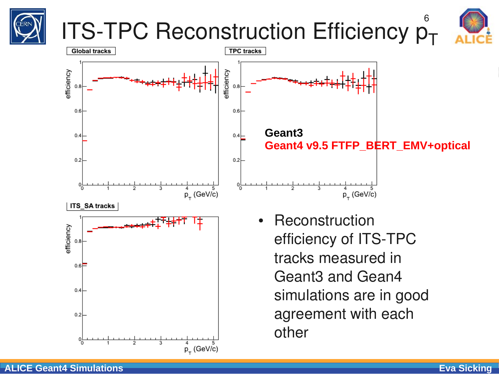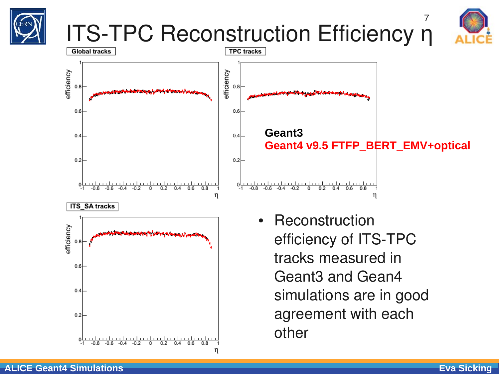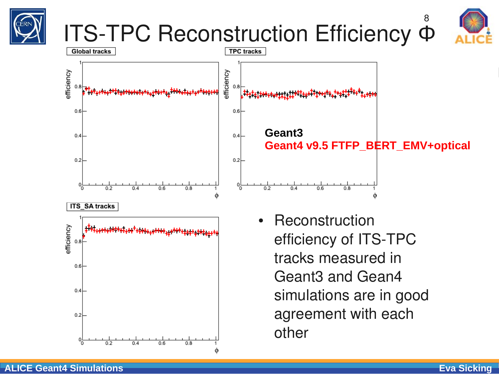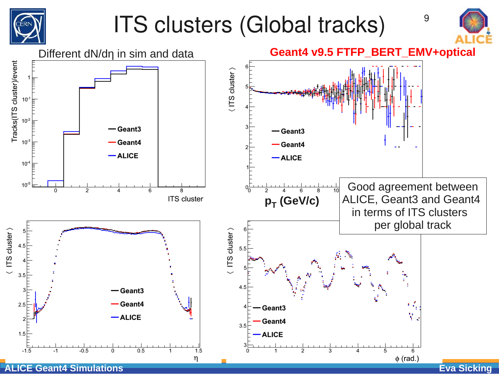

### ITS clusters (Global tracks)



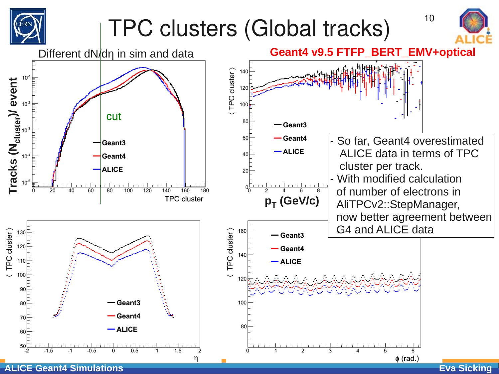

### TPC clusters (Global tracks) 10



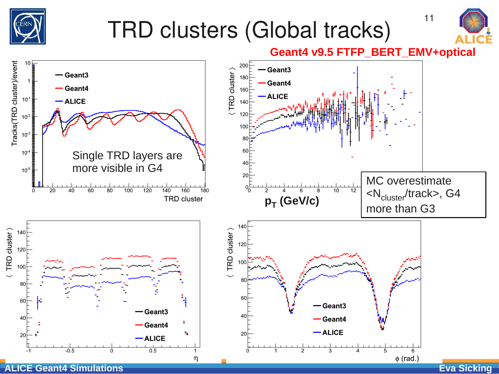

## TRD clusters (Global tracks)



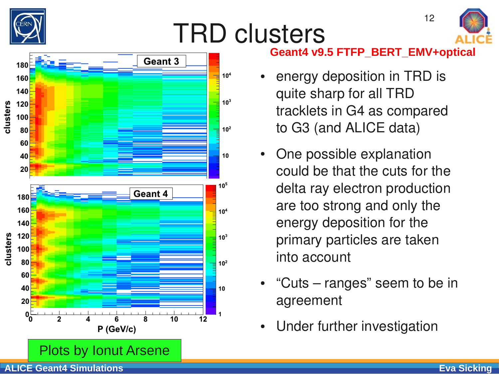

## TRD clusters



12



#### **Geant4 v9.5 FTFP\_BERT\_EMV+optical**

- energy deposition in TRD is quite sharp for all TRD tracklets in G4 as compared to G3 (and ALICE data)
- One possible explanation could be that the cuts for the delta ray electron production are too strong and only the energy deposition for the primary particles are taken into account
- "Cuts – ranges" seem to be in agreement
- Under further investigation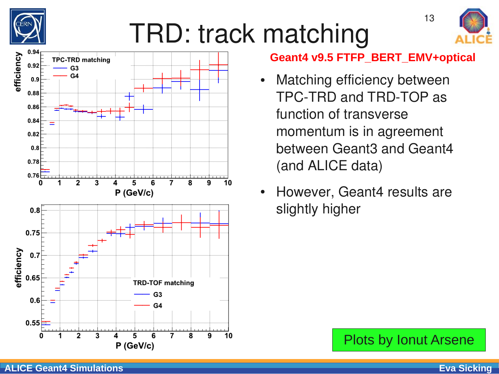

## TRD: track matching



#### **Geant4 v9.5 FTFP\_BERT\_EMV+optical**

- Matching efficiency between TPC-TRD and TRD-TOP as function of transverse momentum is in agreement between Geant3 and Geant4 (and ALICE data)
- However, Geant4 results are slightly higher

Plots by Ionut Arsene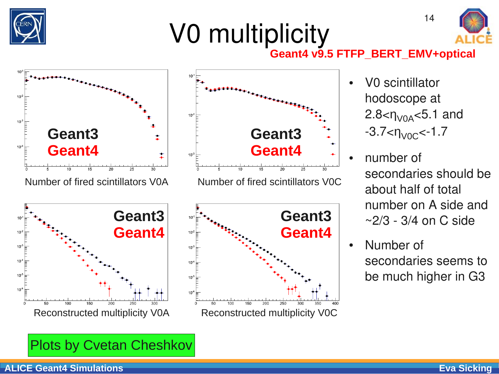

# V0 multiplicity



### **Geant4 v9.5 FTFP\_BERT\_EMV+optical**





**Geant3 Geant4** Reconstructed multiplicity V0A Reconstructed multiplicity V0C

• V0 scintillator hodoscope at  $2.8 < \eta_{V0A} < 5.1$  and  $-3.7 < \eta_{V0C} < -1.7$ 

14

- number of secondaries should be about half of total number on A side and  $\sim$  2/3 - 3/4 on C side
- Number of secondaries seems to be much higher in G3

Plots by Cvetan Cheshkov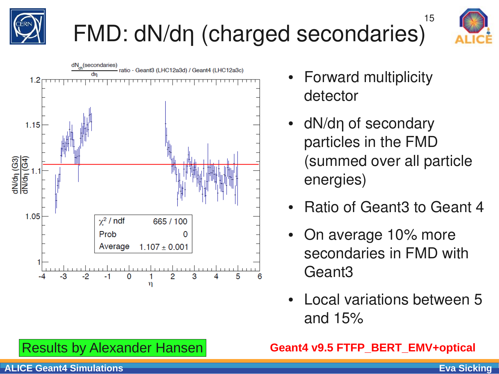

## FMD: dN/dη (charged secondaries)



15



- **Forward multiplicity** detector
- dN/dn of secondary particles in the FMD (summed over all particle energies)
- **Ratio of Geant3 to Geant 4**
- On average 10% more secondaries in FMD with Geant3
- **Local variations between 5** and 15%

#### **Geant4 v9.5 FTFP\_BERT\_EMV+optical**

### Results by Alexander Hansen

#### **ALICE Geant4 Simulations Eva Sicking**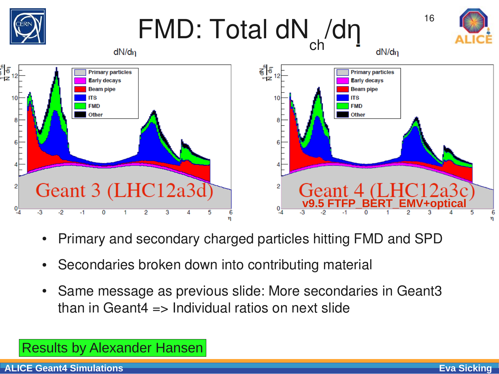

- Primary and secondary charged particles hitting FMD and SPD
- Secondaries broken down into contributing material
- Same message as previous slide: More secondaries in Geant3 than in Geant4  $\Rightarrow$  Individual ratios on next slide

### Results by Alexander Hansen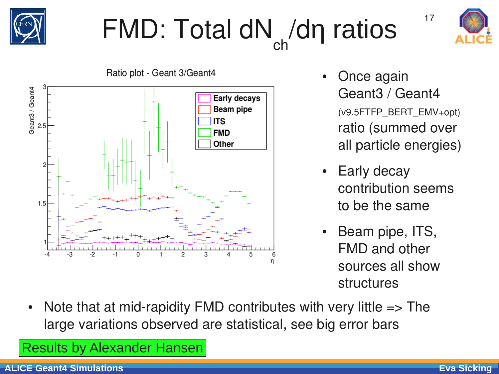

#### $FMD: Total dN/dn$  ratios  $17$ ch /dη ratios





- Once again Geant3 / Geant4 (v9.5FTFP\_BERT\_EMV+opt) ratio (summed over all particle energies)
- **Early decay** contribution seems to be the same
- Beam pipe, ITS, FMD and other sources all show structures
- Note that at mid-rapidity FMD contributes with very little  $\Rightarrow$  The large variations observed are statistical, see big error bars

Results by Alexander Hansen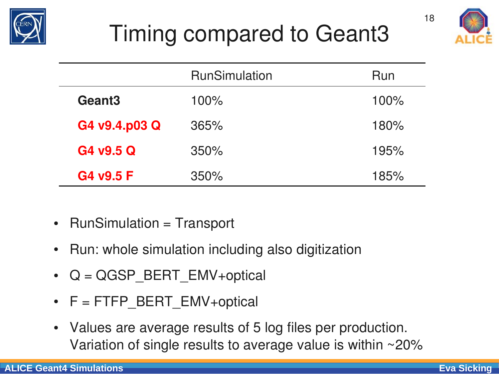

### Timing compared to Geant3



|                    | <b>RunSimulation</b> | Run  |
|--------------------|----------------------|------|
| Geant <sub>3</sub> | 100%                 | 100% |
| G4 v9.4.p03 Q      | 365%                 | 180% |
| G4 v9.5 Q          | 350%                 | 195% |
| G4 v9.5 F          | 350%                 | 185% |

- RunSimulation = Transport
- Run: whole simulation including also digitization
- $Q = QGSP$  BERT EMV+optical
- $F = FTFP$  BERT EMV+optical
- Values are average results of 5 log files per production. Variation of single results to average value is within ~20%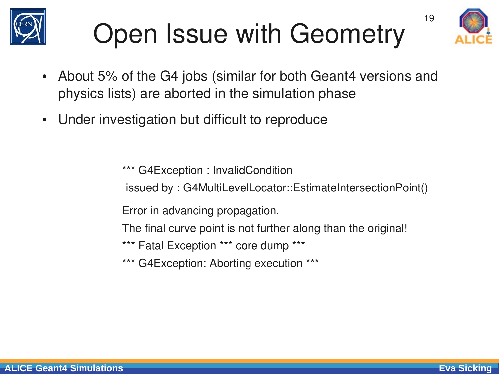

# Open Issue with Geometry



19

- About 5% of the G4 jobs (similar for both Geant4 versions and physics lists) are aborted in the simulation phase
- Under investigation but difficult to reproduce

\*\*\* G4Exception : InvalidCondition

issued by : G4MultiLevelLocator::EstimateIntersectionPoint()

Error in advancing propagation.

The final curve point is not further along than the original!

\*\*\* Fatal Exception \*\*\* core dump \*\*\*

\*\*\* G4Exception: Aborting execution \*\*\*